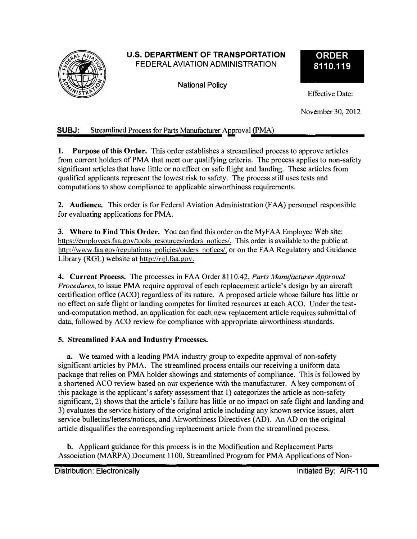# U.S. DEPARTMENT OF TRANSPORTATION FEDERAL AVIATION ADMINISTRATION

National Policy

# **ORDER 8110.119**

Effective Date:

November 30, 2012

# SUBJ: Streamlined Process for Parts Manufacturer Approval (PMA)

1. **Purpose of this Order.** This order establishes a streamlined process to approve articles from current holders of PMA that meet our qualifying criteria. The process applies to non-safety significant articles that have little or no effect on safe flight and landing. These articles from qualified applicants represent the lowest risk to safety. The process still uses tests and computations to show compliance to applicable airworthiness requirements.

**2. Audience.** This order is for Federal Aviation Administration (FAA) personnel responsible for evaluating applications for PMA.

**3. Where to Find This Order.** You can find this order on the MyF AA Employee Web site: [https://employees.faa.gov/tools r](https://emplovees.faa.gov/tools)esources/orders notices/. This order is available to the public at [http://www.faa.gov/regulations p](http://www.faa.gov/regulations)olicies/orders notices/, or on the FAA Regulatory and Guidance Library (RGL) website at [http://rgl.faa.gov.](http://rgl.faa.gov)

**4. Current Process.** The processes in FAA Order 8110.42, *Parts Manufacturer Approval Procedures,* to issue PMA require approval of each replacement article's design by an aircraft certification office (ACO) regardless of its nature. A proposed article whose failure has little or no effect on safe flight or landing competes for limited resources at each ACO. Under the testand-computation method, an application for each new replacement article requires submittal of data, followed by ACO review for compliance with appropriate airworthiness standards.

## **5. Streamlined FAA and Industry Processes.**

**a.** We teamed with a leading PMA industry group to expedite approval of non-safety significant articles by PMA. The streamlined process entails our receiving a uniform data package that relies on PMA holder showings and statements of compliance. This is followed by a shortened ACO review based on our experience with the manufacturer. A key component of this package is the applicant's safety assessment that 1) categorizes the article as non-safety significant, 2) shows that the article's failure has little or no impact on safe flight and landing and 3) evaluates the service history of the original article including any known service issues, alert service bulletins/letters/notices, and Airworthiness Directives (AD). An AD on the original article disqualifies the corresponding replacement article from the streamlined process.

b. Applicant guidance for this process is in the Modification and Replacement Parts Association (MARPA) Document 1100, Streamlined Program for PMA Applications of Non-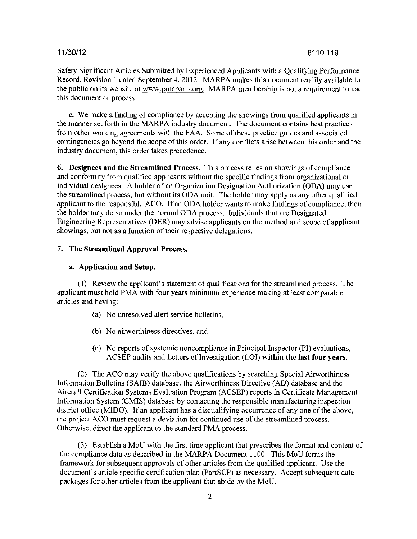Safety Significant Articles Submitted by Experienced Applicants witb a Qualifying Performance Record, Revision I dated September 4, 2012. MARPA makes this document readily available to the public on its website at [www.pmaparts.org.](http://www.pmaparts.org) MARPA membership is not a requirement to use this document or process.

**c.** We make a finding of compliance by accepting the showings from qualified applicants in the manner set forth in the MARPA industry document. The document contains best practices from other working agreements with the FAA. Some of these practice guides and associated contingencies go beyond the scope of this order. If any conflicts arise between this order and the industry document, this order takes precedence.

**6. Designees and the Streamlined Process.** This process relies on showings of compliance and conformity from qualified applicants witbout the specific findings from organizational or individual designees. A holder of an Organization Designation Authorization (ODA) may use the streamlined process, but witbout its ODA unit. The holder may apply as any other qualified applicant to the responsible ACO. If an ODA holder wants to make findings of compliance, then the holder may do so under the normal ODA process. Individuals that are Designated Engineering Representatives (DER) may advise applicants on the metbod and scope of applicant showings, but not as a function of their respective delegations.

### 7. **The Streamlined Approval Process.**

#### **a. Application and Setup.**

(I) Review the applicant's statement of qualifications for the streamlined process. The applicant must hold PMA with four years minimum experience making at least comparable articles and having:

- (a) No unresolved alert service bulletins,
- (b) No airworthiness directives, and
- (c) No reports of systemic noncompliance in Principal Inspector (PI) evaluations, ACSEP audits and Letters of Investigation (LOI) within the last four years.

(2) The ACO may verify the above qualifications by searching Special Airworthiness Information Bulletins (SAIB) database, the Airworthiness Directive (AD) database and the Aircraft Certification Systems Evaluation Program (ACSEP) reports in Certificate Management Information System (CMIS) database by contacting the responsible manufacturing inspection district office (MIDO). If an applicant has a disqualifying occurrence of any one of the above, the project ACO must request a deviation for continued use of the streamlined process. Otherwise, direct the applicant to the standard PMA process.

(3) Establish a MoU with the first time applicant that prescribes the format and content of the compliance data as described in the MARPA Document 1100. This MoU forms the framework for subsequent approvals of other articles from the qualified applicant. Use the document's article specific certification plan (PartSCP) as necessary. Accept subsequent data packages for other articles from the applicant that abide by the MoU.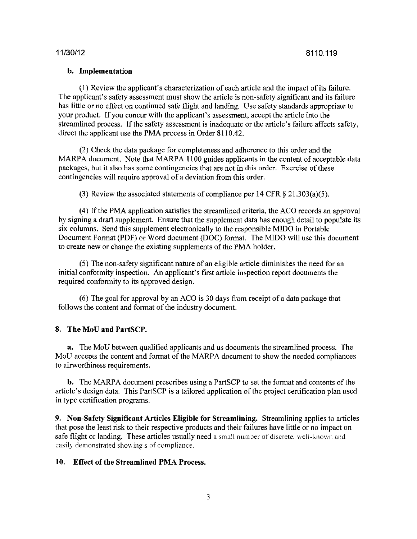### **b. Implementation**

(I) Review the applicant's characterization of each article and the impact of its failure. The applicant's safety assessment must show the article is non-safety significant and its failure has little or no effect on continued safe flight and landing. Use safety standards appropriate to your product. If you concur with the applicant's assessment, accept the article into the streamlined process. If the safety assessment is inadequate or the article's failure affects safety, direct the applicant use the PMA process in Order 8110.42.

(2) Check the data package for completeness and adherence to this order and the MARPA document. Note that MARPA 1100 guides applicants in the content of acceptable data packages, but it also has some contingencies that are not in this order. Exercise of these contingencies will require approval of a deviation from this order.

(3) Review the associated statements of compliance per 14 CFR  $\S 21.303(a)(5)$ .

(4) Ifthe PMA application satisfies the streamlined criteria, the ACO records an approval by signing a draft supplement. Ensure that the supplement data has enough detail to populate its six columns. Send this supplement electronically to the responsible MIDO in Portable Document Format (PDF) or Word document (DOC) format. The MIDO will use this document to create new or change the existing supplements of the PMA holder.

(5) The non-safety significant nature of an eligible article diminishes the need for an initial conformity inspection. An applicant's first article inspection report documents the required conformity to its approved design.

(6) The goal for approval by an ACO is 30 days from receipt of a data package that follows the content and format of the industry document.

### **8. The MoU and PartSCP.**

**a.** The MoU between qualified applicants and us documents the streamlined process. The MoU accepts the content and format of the MARPA document to show the needed compliances to airworthiness requirements.

**b.** The MARPA document prescribes using a PartSCP to set the format and contents of the article's design data. This PartSCP is a tailored application of the project certification plan used in type certification programs.

**9. Non-Safety Significant Articles Eligible for Streamlining.** Streamlining applies to articles that pose the least risk to their respective products and their failures have little or no impact on safe flight or landing. These articles usually need a small number of discrete, well-known and easily demonstrated showing s of compliance.

### **10. Effect of the Streamlined PMA Process.**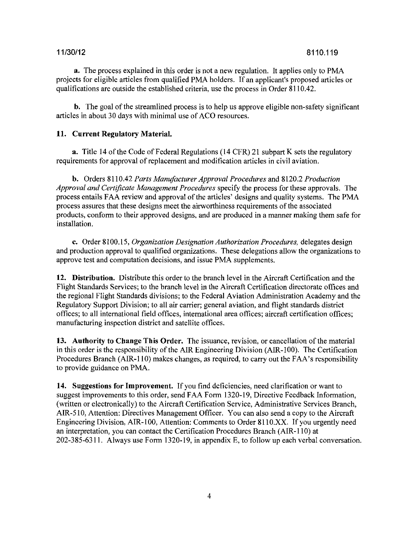**a.** The process explained in this order is not a new regulation. It applies only to PMA projects for eligible articles from qualified PMA holders. If an applicant's proposed articles or qualifications are outside the established criteria, use the process in Order 8110.42.

**b.** The goal of the streamlined process is to help us approve eligible non-safety significant articles in about 30 days with minimal use of ACO resources.

### **11. Current Regulatory Material.**

**a.** Title 14 of the Code of Federal Regulations (14 CFR) 21 subpart K sets the regulatory requirements for approval of replacement and modification articles in civil aviation.

**b.** Orders 8110.42 *Parts Mantifacturer Approval Procedures* and 8120.2 *Production Approval and Certificate Management Procedures* specify the process for these approvals. The process entails FAA review and approval of the articles' designs and quality systems. The PMA process assures that these designs meet the airworthiness requirements of the associated products, conform to their approved designs, and are produced in a manner making them safe for installation.

**c.** Order 8100.15, *Organization Designation Authorization Procedures,* delegates design and production approval to qualified organizations. These delegations allow the organizations to approve test and computation decisions, and issue PMA supplements.

**12. Distribution.** Distribute this order to the branch level in the Aircraft Certification and the Flight Standards Services; to the branch level in the Aircraft Certification directorate offices and the regional Flight Standards divisions; to the Federal Aviation Administration Academy and the Regulatory Support Division; to all air carrier; general aviation, and flight standards district offices; to all international field offices, international area offices; aircraft certification offices; manufacturing inspection district and satellite offices.

13. Authority to Change This Order. The issuance, revision, or cancellation of the material in this order is the responsibility of the AIR Engineering Division (AIR-100). The Certification Procedures Branch (AIR-110) makes changes, as required, to carry out the FAA's responsibility to provide guidance on PMA.

**14. Suggestions for Improvement.** Ifyou find deficiencies, need clarification or want to suggest improvements to this order, send FAA Form 1320-19, Directive Feedback Information, (written or electronically) to the Aircraft Certification Service, Administrative Services Branch, AIR-510, Attention: Directives Management Officer. You can also send a copy to the Aircraft Engineering Division, AIR-I 00, Attention: Comments to Order 811 O.XX. If you urgently need an interpretation, you can contact the Certification Procedures Branch (AIR-110) at 202-385-6311. Always use Form 1320-19, in appendix E, to follow up each verbal conversation.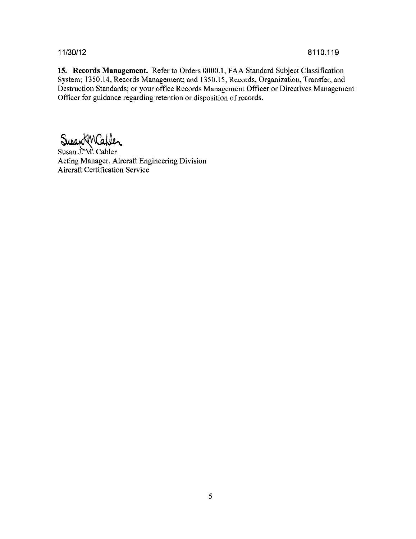**15. Records Management.** Refer to Orders 0000.1, FAA Standard Subject Classification System; 1350.14, Records Management; and 1350.15, Records, Organization, Transfer, and Destruction Standards; or your office Records Management Officer or Directives Management Officer for guidance regarding retention or disposition of records.

Susan J. M. Cabler

Acting Manager, Aircraft Engineering Division Aircraft Certification Service